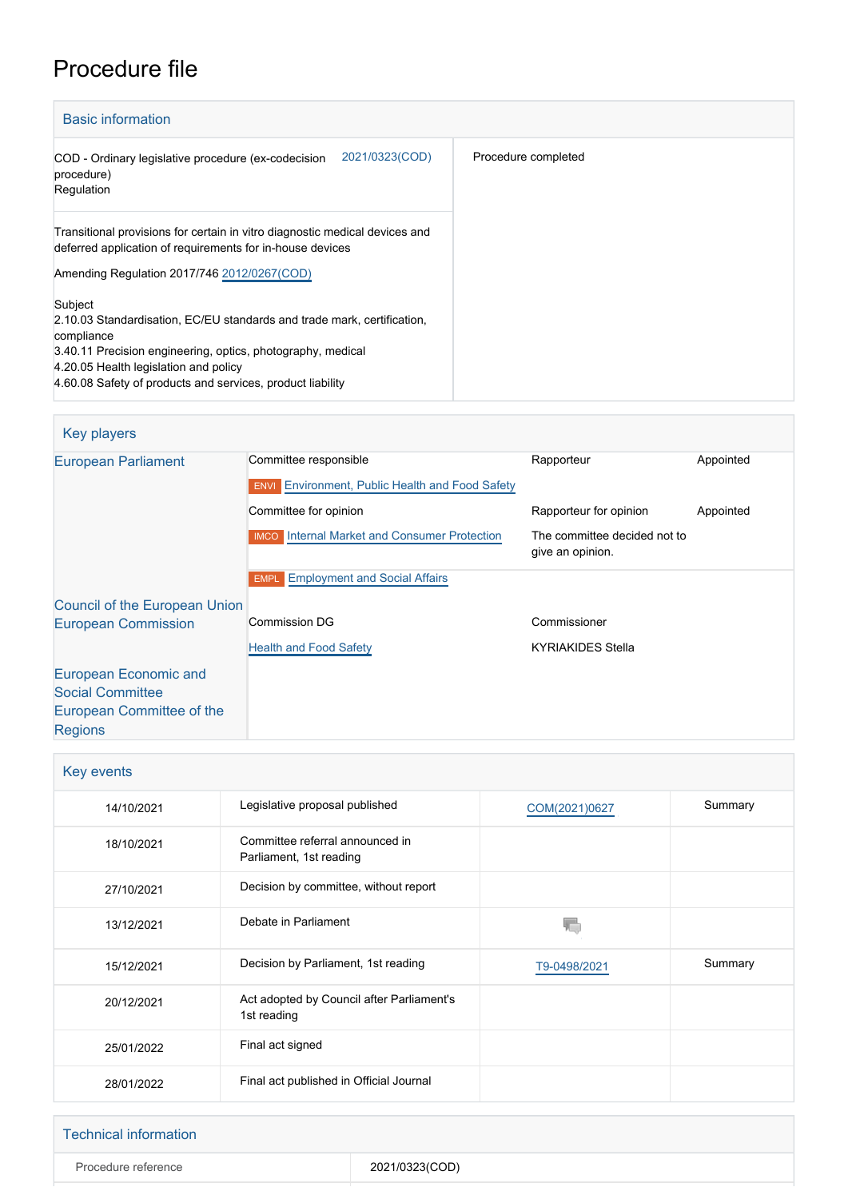# Procedure file

| <b>Basic information</b>                                                                                                                                                                                                                                               |                     |  |  |
|------------------------------------------------------------------------------------------------------------------------------------------------------------------------------------------------------------------------------------------------------------------------|---------------------|--|--|
| 2021/0323(COD)<br>COD - Ordinary legislative procedure (ex-codecision<br>procedure)<br>Regulation                                                                                                                                                                      | Procedure completed |  |  |
| Transitional provisions for certain in vitro diagnostic medical devices and<br>deferred application of requirements for in-house devices<br>Amending Regulation 2017/746 2012/0267(COD)                                                                                |                     |  |  |
| Subject<br>2.10.03 Standardisation, EC/EU standards and trade mark, certification,<br>compliance<br>3.40.11 Precision engineering, optics, photography, medical<br>4.20.05 Health legislation and policy<br>4.60.08 Safety of products and services, product liability |                     |  |  |

### Key players [European Parliament](http://www.europarl.europa.eu/) Committee responsible Rapporteur Rapporteur Appointed **ENVI [Environment, Public Health and Food Safety](http://www.europarl.europa.eu/committees/en/envi/home.html) Committee for opinion** Committee for opinion Appointed IMCO [Internal Market and Consumer Protection](http://www.europarl.europa.eu/committees/en/imco/home.html) The committee decided not to give an opinion. **EMPL** [Employment and Social Affairs](http://www.europarl.europa.eu/committees/en/empl/home.html) [Council of the European Union](http://www.consilium.europa.eu) [European Commission](http://ec.europa.eu/) Commission DG [Health and Food Safety](http://ec.europa.eu/info/departments/health-and-food-safety_en) Commissioner KYRIAKIDES Stella [European Economic and](http://www.eesc.europa.eu/) [Social Committee](http://www.eesc.europa.eu/) [European Committee of the](http://www.cor.europa.eu/) [Regions](http://www.cor.europa.eu/)

| Key events |                                                            |               |         |  |  |
|------------|------------------------------------------------------------|---------------|---------|--|--|
| 14/10/2021 | Legislative proposal published                             | COM(2021)0627 | Summary |  |  |
| 18/10/2021 | Committee referral announced in<br>Parliament, 1st reading |               |         |  |  |
| 27/10/2021 | Decision by committee, without report                      |               |         |  |  |
| 13/12/2021 | Debate in Parliament                                       |               |         |  |  |
| 15/12/2021 | Decision by Parliament, 1st reading                        | T9-0498/2021  | Summary |  |  |
| 20/12/2021 | Act adopted by Council after Parliament's<br>1st reading   |               |         |  |  |
| 25/01/2022 | Final act signed                                           |               |         |  |  |
| 28/01/2022 | Final act published in Official Journal                    |               |         |  |  |

| <b>Technical information</b> |                |
|------------------------------|----------------|
| Procedure reference          | 2021/0323(COD) |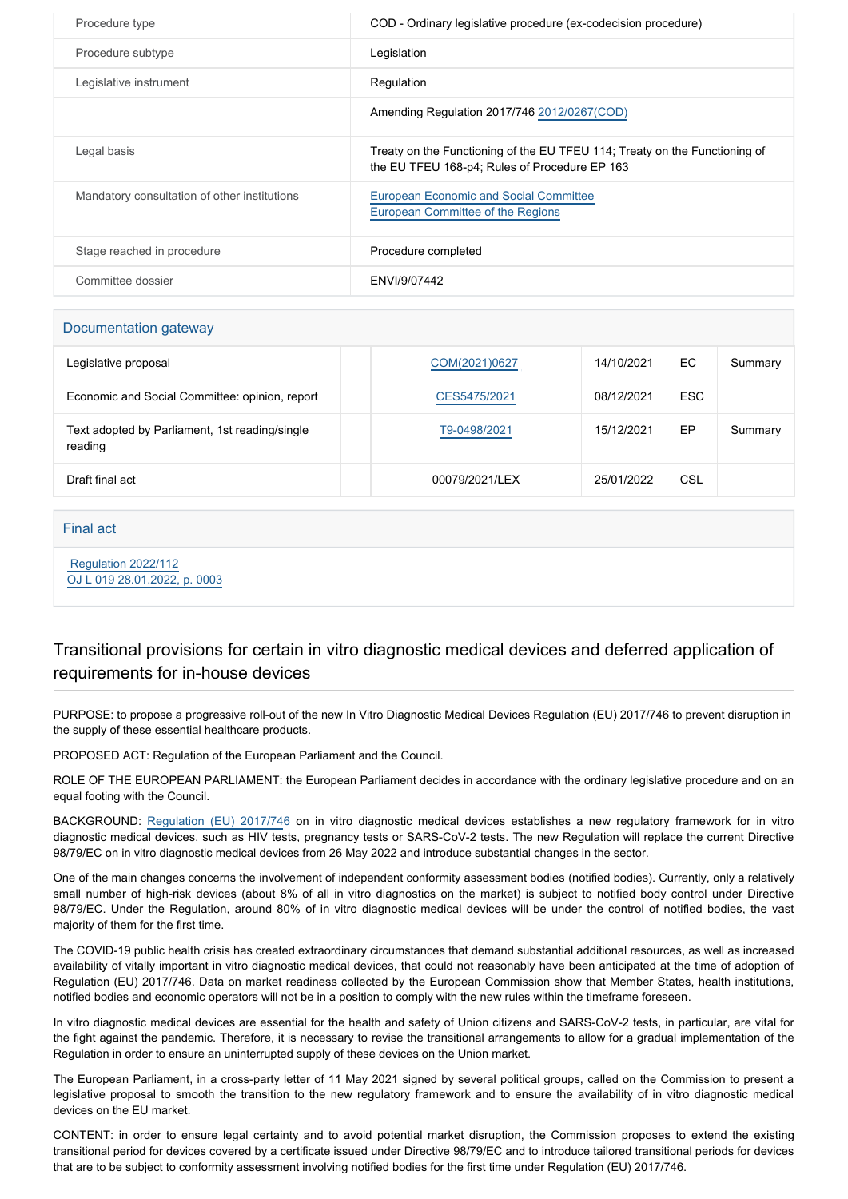| Procedure type                               | COD - Ordinary legislative procedure (ex-codecision procedure)                                                              |
|----------------------------------------------|-----------------------------------------------------------------------------------------------------------------------------|
| Procedure subtype                            | Legislation                                                                                                                 |
| Legislative instrument                       | Regulation                                                                                                                  |
|                                              | Amending Regulation 2017/746 2012/0267(COD)                                                                                 |
| Legal basis                                  | Treaty on the Functioning of the EU TFEU 114; Treaty on the Functioning of<br>the EU TFEU 168-p4; Rules of Procedure EP 163 |
| Mandatory consultation of other institutions | <b>European Economic and Social Committee</b><br>European Committee of the Regions                                          |
| Stage reached in procedure                   | Procedure completed                                                                                                         |
| Committee dossier                            | FNVI/9/07442                                                                                                                |

#### Documentation gateway

| Legislative proposal                                      | COM(2021)0627  | 14/10/2021 | EC         | Summary |
|-----------------------------------------------------------|----------------|------------|------------|---------|
| Economic and Social Committee: opinion, report            | CES5475/2021   | 08/12/2021 | <b>ESC</b> |         |
| Text adopted by Parliament, 1st reading/single<br>reading | T9-0498/2021   | 15/12/2021 | EP         | Summary |
| Draft final act                                           | 00079/2021/LEX | 25/01/2022 | CSL        |         |

#### Final act

 [Regulation 2022/112](https://eur-lex.europa.eu/smartapi/cgi/sga_doc?smartapi!celexplus!prod!CELEXnumdoc&lg=EN&numdoc=32022R0112) [OJ L 019 28.01.2022, p. 0003](https://eur-lex.europa.eu/legal-content/EN/TXT/?uri=OJ:L:2022:019:TOC)

# Transitional provisions for certain in vitro diagnostic medical devices and deferred application of requirements for in-house devices

PURPOSE: to propose a progressive roll-out of the new In Vitro Diagnostic Medical Devices Regulation (EU) 2017/746 to prevent disruption in the supply of these essential healthcare products.

PROPOSED ACT: Regulation of the European Parliament and the Council.

ROLE OF THE EUROPEAN PARLIAMENT: the European Parliament decides in accordance with the ordinary legislative procedure and on an equal footing with the Council.

BACKGROUND: [Regulation \(EU\) 2017/74](https://oeil.secure.europarl.europa.eu/oeil/popups/ficheprocedure.do?reference=2012/0267(COD)&l=en)6 on in vitro diagnostic medical devices establishes a new regulatory framework for in vitro diagnostic medical devices, such as HIV tests, pregnancy tests or SARS-CoV-2 tests. The new Regulation will replace the current Directive 98/79/EC on in vitro diagnostic medical devices from 26 May 2022 and introduce substantial changes in the sector.

One of the main changes concerns the involvement of independent conformity assessment bodies (notified bodies). Currently, only a relatively small number of high-risk devices (about 8% of all in vitro diagnostics on the market) is subject to notified body control under Directive 98/79/EC. Under the Regulation, around 80% of in vitro diagnostic medical devices will be under the control of notified bodies, the vast majority of them for the first time.

The COVID-19 public health crisis has created extraordinary circumstances that demand substantial additional resources, as well as increased availability of vitally important in vitro diagnostic medical devices, that could not reasonably have been anticipated at the time of adoption of Regulation (EU) 2017/746. Data on market readiness collected by the European Commission show that Member States, health institutions, notified bodies and economic operators will not be in a position to comply with the new rules within the timeframe foreseen.

In vitro diagnostic medical devices are essential for the health and safety of Union citizens and SARS-CoV-2 tests, in particular, are vital for the fight against the pandemic. Therefore, it is necessary to revise the transitional arrangements to allow for a gradual implementation of the Regulation in order to ensure an uninterrupted supply of these devices on the Union market.

The European Parliament, in a cross-party letter of 11 May 2021 signed by several political groups, called on the Commission to present a legislative proposal to smooth the transition to the new regulatory framework and to ensure the availability of in vitro diagnostic medical devices on the EU market.

CONTENT: in order to ensure legal certainty and to avoid potential market disruption, the Commission proposes to extend the existing transitional period for devices covered by a certificate issued under Directive 98/79/EC and to introduce tailored transitional periods for devices that are to be subject to conformity assessment involving notified bodies for the first time under Regulation (EU) 2017/746.